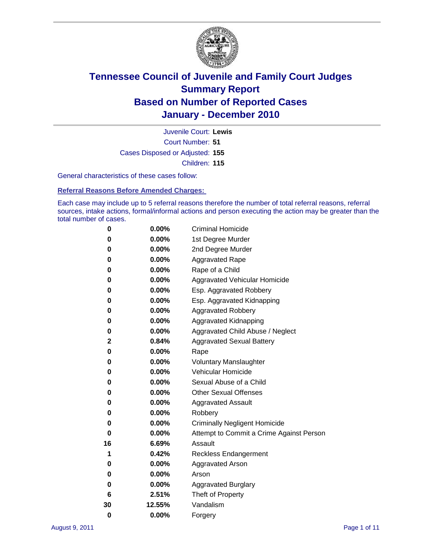

Court Number: **51** Juvenile Court: **Lewis** Cases Disposed or Adjusted: **155** Children: **115**

General characteristics of these cases follow:

**Referral Reasons Before Amended Charges:** 

Each case may include up to 5 referral reasons therefore the number of total referral reasons, referral sources, intake actions, formal/informal actions and person executing the action may be greater than the total number of cases.

| 0  | 0.00%  | <b>Criminal Homicide</b>                 |
|----|--------|------------------------------------------|
| 0  | 0.00%  | 1st Degree Murder                        |
| 0  | 0.00%  | 2nd Degree Murder                        |
| 0  | 0.00%  | <b>Aggravated Rape</b>                   |
| 0  | 0.00%  | Rape of a Child                          |
| 0  | 0.00%  | Aggravated Vehicular Homicide            |
| 0  | 0.00%  | Esp. Aggravated Robbery                  |
| 0  | 0.00%  | Esp. Aggravated Kidnapping               |
| 0  | 0.00%  | <b>Aggravated Robbery</b>                |
| 0  | 0.00%  | Aggravated Kidnapping                    |
| 0  | 0.00%  | Aggravated Child Abuse / Neglect         |
| 2  | 0.84%  | <b>Aggravated Sexual Battery</b>         |
| 0  | 0.00%  | Rape                                     |
| 0  | 0.00%  | <b>Voluntary Manslaughter</b>            |
| 0  | 0.00%  | Vehicular Homicide                       |
| 0  | 0.00%  | Sexual Abuse of a Child                  |
| 0  | 0.00%  | <b>Other Sexual Offenses</b>             |
| 0  | 0.00%  | <b>Aggravated Assault</b>                |
| 0  | 0.00%  | Robbery                                  |
| 0  | 0.00%  | <b>Criminally Negligent Homicide</b>     |
| 0  | 0.00%  | Attempt to Commit a Crime Against Person |
| 16 | 6.69%  | Assault                                  |
| 1  | 0.42%  | <b>Reckless Endangerment</b>             |
| 0  | 0.00%  | <b>Aggravated Arson</b>                  |
| 0  | 0.00%  | Arson                                    |
| 0  | 0.00%  | <b>Aggravated Burglary</b>               |
| 6  | 2.51%  | Theft of Property                        |
| 30 | 12.55% | Vandalism                                |
| 0  | 0.00%  | Forgery                                  |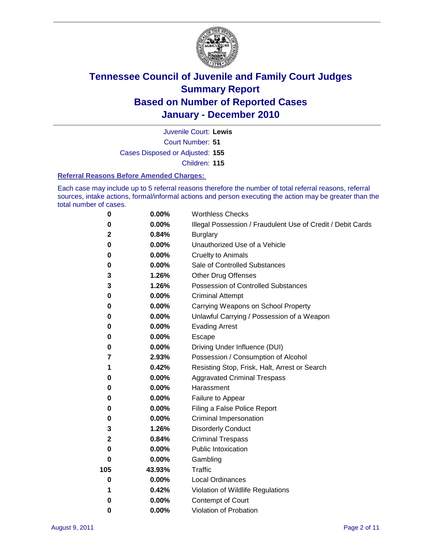

Court Number: **51** Juvenile Court: **Lewis**

Cases Disposed or Adjusted: **155**

Children: **115**

#### **Referral Reasons Before Amended Charges:**

Each case may include up to 5 referral reasons therefore the number of total referral reasons, referral sources, intake actions, formal/informal actions and person executing the action may be greater than the total number of cases.

| $\pmb{0}$ | 0.00%    | <b>Worthless Checks</b>                                     |
|-----------|----------|-------------------------------------------------------------|
| 0         | 0.00%    | Illegal Possession / Fraudulent Use of Credit / Debit Cards |
| 2         | 0.84%    | <b>Burglary</b>                                             |
| $\bf{0}$  | $0.00\%$ | Unauthorized Use of a Vehicle                               |
| 0         | $0.00\%$ | <b>Cruelty to Animals</b>                                   |
| 0         | $0.00\%$ | Sale of Controlled Substances                               |
| 3         | 1.26%    | <b>Other Drug Offenses</b>                                  |
| 3         | 1.26%    | Possession of Controlled Substances                         |
| 0         | $0.00\%$ | <b>Criminal Attempt</b>                                     |
| 0         | 0.00%    | Carrying Weapons on School Property                         |
| 0         | $0.00\%$ | Unlawful Carrying / Possession of a Weapon                  |
| 0         | $0.00\%$ | <b>Evading Arrest</b>                                       |
| 0         | 0.00%    | Escape                                                      |
| 0         | $0.00\%$ | Driving Under Influence (DUI)                               |
| 7         | 2.93%    | Possession / Consumption of Alcohol                         |
| 1         | 0.42%    | Resisting Stop, Frisk, Halt, Arrest or Search               |
| 0         | $0.00\%$ | <b>Aggravated Criminal Trespass</b>                         |
| 0         | $0.00\%$ | Harassment                                                  |
| 0         | 0.00%    | Failure to Appear                                           |
| 0         | $0.00\%$ | Filing a False Police Report                                |
| 0         | 0.00%    | Criminal Impersonation                                      |
| 3         | 1.26%    | <b>Disorderly Conduct</b>                                   |
| 2         | 0.84%    | <b>Criminal Trespass</b>                                    |
| $\bf{0}$  | 0.00%    | <b>Public Intoxication</b>                                  |
| 0         | $0.00\%$ | Gambling                                                    |
| 105       | 43.93%   | Traffic                                                     |
| 0         | $0.00\%$ | <b>Local Ordinances</b>                                     |
| 1         | 0.42%    | Violation of Wildlife Regulations                           |
| 0         | $0.00\%$ | Contempt of Court                                           |
| 0         | 0.00%    | Violation of Probation                                      |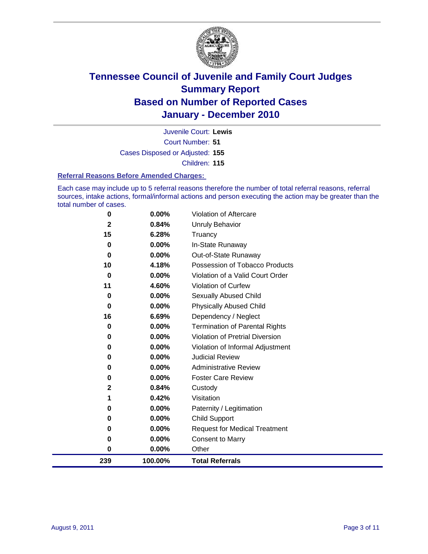

Court Number: **51** Juvenile Court: **Lewis** Cases Disposed or Adjusted: **155** Children: **115**

#### **Referral Reasons Before Amended Charges:**

Each case may include up to 5 referral reasons therefore the number of total referral reasons, referral sources, intake actions, formal/informal actions and person executing the action may be greater than the total number of cases.

| 0   | 0.00%    | Violation of Aftercare                 |
|-----|----------|----------------------------------------|
| 2   | 0.84%    | Unruly Behavior                        |
| 15  | 6.28%    | Truancy                                |
| 0   | 0.00%    | In-State Runaway                       |
| 0   | 0.00%    | Out-of-State Runaway                   |
| 10  | 4.18%    | Possession of Tobacco Products         |
| 0   | 0.00%    | Violation of a Valid Court Order       |
| 11  | 4.60%    | <b>Violation of Curfew</b>             |
| 0   | 0.00%    | Sexually Abused Child                  |
| 0   | 0.00%    | <b>Physically Abused Child</b>         |
| 16  | 6.69%    | Dependency / Neglect                   |
| 0   | 0.00%    | <b>Termination of Parental Rights</b>  |
| 0   | 0.00%    | <b>Violation of Pretrial Diversion</b> |
| 0   | 0.00%    | Violation of Informal Adjustment       |
| 0   | $0.00\%$ | <b>Judicial Review</b>                 |
| 0   | 0.00%    | <b>Administrative Review</b>           |
| 0   | $0.00\%$ | <b>Foster Care Review</b>              |
| 2   | 0.84%    | Custody                                |
| 1   | 0.42%    | Visitation                             |
| 0   | 0.00%    | Paternity / Legitimation               |
| 0   | 0.00%    | Child Support                          |
| 0   | 0.00%    | <b>Request for Medical Treatment</b>   |
| 0   | 0.00%    | <b>Consent to Marry</b>                |
| 0   | 0.00%    | Other                                  |
| 239 | 100.00%  | <b>Total Referrals</b>                 |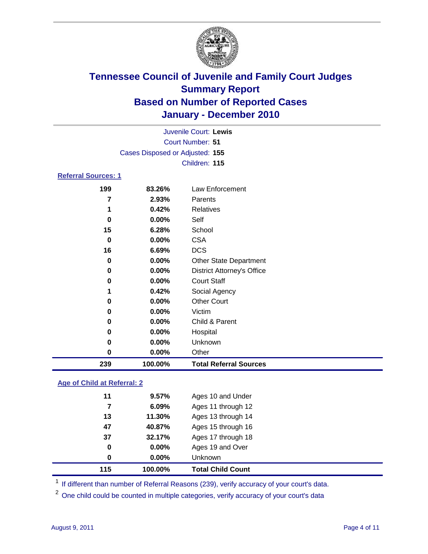

|                            |                                 | Juvenile Court: Lewis             |  |  |  |  |  |
|----------------------------|---------------------------------|-----------------------------------|--|--|--|--|--|
|                            | <b>Court Number: 51</b>         |                                   |  |  |  |  |  |
|                            | Cases Disposed or Adjusted: 155 |                                   |  |  |  |  |  |
|                            |                                 | Children: 115                     |  |  |  |  |  |
| <b>Referral Sources: 1</b> |                                 |                                   |  |  |  |  |  |
| 199                        | 83.26%                          | Law Enforcement                   |  |  |  |  |  |
| 7                          | 2.93%                           | Parents                           |  |  |  |  |  |
| 1                          | 0.42%                           | Relatives                         |  |  |  |  |  |
| 0                          | $0.00\%$                        | Self                              |  |  |  |  |  |
| 15                         | 6.28%                           | School                            |  |  |  |  |  |
| 0                          | $0.00\%$                        | <b>CSA</b>                        |  |  |  |  |  |
| 16                         | 6.69%                           | <b>DCS</b>                        |  |  |  |  |  |
| 0                          | $0.00\%$                        | <b>Other State Department</b>     |  |  |  |  |  |
| 0                          | $0.00\%$                        | <b>District Attorney's Office</b> |  |  |  |  |  |
| 0                          | $0.00\%$                        | <b>Court Staff</b>                |  |  |  |  |  |
| 1                          | 0.42%                           | Social Agency                     |  |  |  |  |  |
| 0                          | $0.00\%$                        | Other Court                       |  |  |  |  |  |

| 239 | 100.00%  | <b>Total Referral Sources</b> |
|-----|----------|-------------------------------|
| 0   | $0.00\%$ | Other                         |
| 0   | $0.00\%$ | <b>Unknown</b>                |
| 0   | $0.00\%$ | Hospital                      |
| 0   | $0.00\%$ | Child & Parent                |
| 0   | $0.00\%$ | Victim                        |
| -   |          | -------------                 |

### **Age of Child at Referral: 2**

| 115 | 100.00% | <b>Total Child Count</b> |
|-----|---------|--------------------------|
| 0   | 0.00%   | <b>Unknown</b>           |
| 0   | 0.00%   | Ages 19 and Over         |
| 37  | 32.17%  | Ages 17 through 18       |
| 47  | 40.87%  | Ages 15 through 16       |
| 13  | 11.30%  | Ages 13 through 14       |
| 7   | 6.09%   | Ages 11 through 12       |
| 11  | 9.57%   | Ages 10 and Under        |
|     |         |                          |

<sup>1</sup> If different than number of Referral Reasons (239), verify accuracy of your court's data.

<sup>2</sup> One child could be counted in multiple categories, verify accuracy of your court's data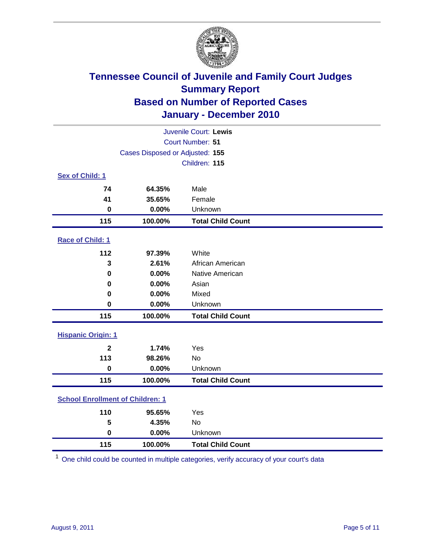

| Juvenile Court: Lewis                   |                                 |                          |  |  |  |
|-----------------------------------------|---------------------------------|--------------------------|--|--|--|
|                                         | Court Number: 51                |                          |  |  |  |
|                                         | Cases Disposed or Adjusted: 155 |                          |  |  |  |
|                                         |                                 | Children: 115            |  |  |  |
| Sex of Child: 1                         |                                 |                          |  |  |  |
| 74                                      | 64.35%                          | Male                     |  |  |  |
| 41                                      | 35.65%                          | Female                   |  |  |  |
| 0                                       | 0.00%                           | Unknown                  |  |  |  |
| 115                                     | 100.00%                         | <b>Total Child Count</b> |  |  |  |
| Race of Child: 1                        |                                 |                          |  |  |  |
| 112                                     | 97.39%                          | White                    |  |  |  |
| 3                                       | 2.61%                           | African American         |  |  |  |
| 0                                       | 0.00%                           | Native American          |  |  |  |
| $\mathbf 0$                             | 0.00%                           | Asian                    |  |  |  |
| 0                                       | 0.00%                           | Mixed                    |  |  |  |
| $\mathbf 0$                             | 0.00%                           | Unknown                  |  |  |  |
| 115                                     | 100.00%                         | <b>Total Child Count</b> |  |  |  |
| <b>Hispanic Origin: 1</b>               |                                 |                          |  |  |  |
| $\overline{2}$                          | 1.74%                           | Yes                      |  |  |  |
| 113                                     | 98.26%                          | <b>No</b>                |  |  |  |
| $\mathbf 0$                             | 0.00%                           | Unknown                  |  |  |  |
| 115                                     | 100.00%                         | <b>Total Child Count</b> |  |  |  |
| <b>School Enrollment of Children: 1</b> |                                 |                          |  |  |  |
| 110                                     | 95.65%                          | Yes                      |  |  |  |
| 5                                       | 4.35%                           | No                       |  |  |  |
| $\mathbf 0$                             | 0.00%                           | Unknown                  |  |  |  |
| 115                                     | 100.00%                         | <b>Total Child Count</b> |  |  |  |

One child could be counted in multiple categories, verify accuracy of your court's data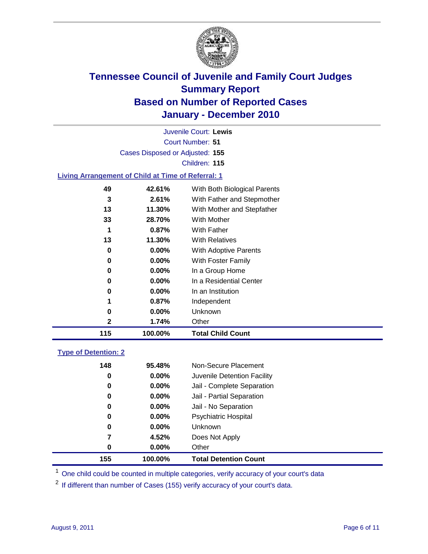

Court Number: **51** Juvenile Court: **Lewis** Cases Disposed or Adjusted: **155** Children: **115**

#### **Living Arrangement of Child at Time of Referral: 1**

| 115 | 100.00%  | <b>Total Child Count</b>     |
|-----|----------|------------------------------|
| 2   | 1.74%    | Other                        |
| 0   | $0.00\%$ | Unknown                      |
| 1   | 0.87%    | Independent                  |
| 0   | $0.00\%$ | In an Institution            |
| 0   | $0.00\%$ | In a Residential Center      |
| 0   | $0.00\%$ | In a Group Home              |
| 0   | $0.00\%$ | With Foster Family           |
| 0   | $0.00\%$ | With Adoptive Parents        |
| 13  | 11.30%   | <b>With Relatives</b>        |
| 1   | 0.87%    | <b>With Father</b>           |
| 33  | 28.70%   | With Mother                  |
| 13  | 11.30%   | With Mother and Stepfather   |
| 3   | 2.61%    | With Father and Stepmother   |
| 49  | 42.61%   | With Both Biological Parents |
|     |          |                              |

### **Type of Detention: 2**

| 155 | 100.00%  | <b>Total Detention Count</b> |  |
|-----|----------|------------------------------|--|
| 0   | $0.00\%$ | Other                        |  |
| 7   | 4.52%    | Does Not Apply               |  |
| 0   | $0.00\%$ | Unknown                      |  |
| 0   | 0.00%    | Psychiatric Hospital         |  |
| 0   | 0.00%    | Jail - No Separation         |  |
| 0   | $0.00\%$ | Jail - Partial Separation    |  |
| 0   | 0.00%    | Jail - Complete Separation   |  |
| 0   | $0.00\%$ | Juvenile Detention Facility  |  |
| 148 | 95.48%   | Non-Secure Placement         |  |
|     |          |                              |  |

<sup>1</sup> One child could be counted in multiple categories, verify accuracy of your court's data

<sup>2</sup> If different than number of Cases (155) verify accuracy of your court's data.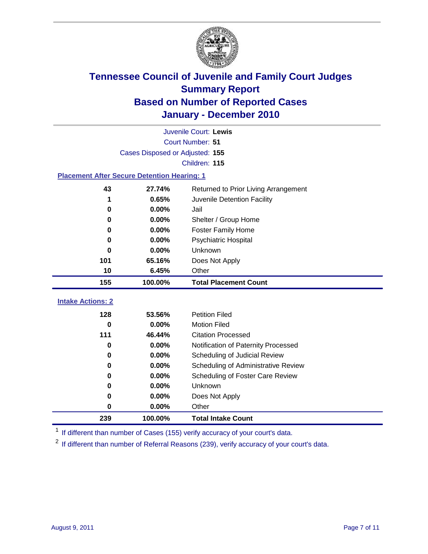

|                                                    | Juvenile Court: Lewis           |                                                  |  |  |  |
|----------------------------------------------------|---------------------------------|--------------------------------------------------|--|--|--|
|                                                    | Court Number: 51                |                                                  |  |  |  |
|                                                    | Cases Disposed or Adjusted: 155 |                                                  |  |  |  |
|                                                    |                                 | Children: 115                                    |  |  |  |
| <b>Placement After Secure Detention Hearing: 1</b> |                                 |                                                  |  |  |  |
| 43                                                 | 27.74%                          | Returned to Prior Living Arrangement             |  |  |  |
| 1                                                  | 0.65%                           | Juvenile Detention Facility                      |  |  |  |
| 0                                                  | 0.00%                           | Jail                                             |  |  |  |
| $\bf{0}$                                           | 0.00%                           | Shelter / Group Home                             |  |  |  |
| 0                                                  | 0.00%                           | <b>Foster Family Home</b>                        |  |  |  |
| 0                                                  | 0.00%                           | Psychiatric Hospital                             |  |  |  |
| 0                                                  | 0.00%                           | Unknown                                          |  |  |  |
| 101                                                | 65.16%                          | Does Not Apply                                   |  |  |  |
| 10                                                 | 6.45%                           | Other                                            |  |  |  |
| 155                                                | 100.00%                         | <b>Total Placement Count</b>                     |  |  |  |
|                                                    |                                 |                                                  |  |  |  |
|                                                    |                                 |                                                  |  |  |  |
| <b>Intake Actions: 2</b>                           |                                 |                                                  |  |  |  |
| 128                                                | 53.56%                          | <b>Petition Filed</b>                            |  |  |  |
| $\bf{0}$<br>111                                    | 0.00%<br>46.44%                 | <b>Motion Filed</b><br><b>Citation Processed</b> |  |  |  |
| 0                                                  | 0.00%                           | Notification of Paternity Processed              |  |  |  |
| $\bf{0}$                                           | 0.00%                           | Scheduling of Judicial Review                    |  |  |  |
| 0                                                  | 0.00%                           | Scheduling of Administrative Review              |  |  |  |
| 0                                                  | 0.00%                           | Scheduling of Foster Care Review                 |  |  |  |
| 0                                                  | 0.00%                           | Unknown                                          |  |  |  |
| 0                                                  | 0.00%                           | Does Not Apply                                   |  |  |  |
| $\pmb{0}$                                          | 0.00%                           | Other                                            |  |  |  |

<sup>1</sup> If different than number of Cases (155) verify accuracy of your court's data.

<sup>2</sup> If different than number of Referral Reasons (239), verify accuracy of your court's data.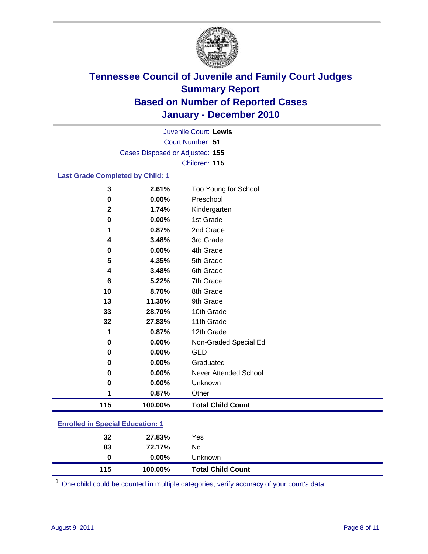

Court Number: **51** Juvenile Court: **Lewis** Cases Disposed or Adjusted: **155** Children: **115**

#### **Last Grade Completed by Child: 1**

| 3                                       | 2.61%   | Too Young for School         |  |
|-----------------------------------------|---------|------------------------------|--|
| 0                                       | 0.00%   | Preschool                    |  |
| $\mathbf{2}$                            | 1.74%   | Kindergarten                 |  |
| 0                                       | 0.00%   | 1st Grade                    |  |
| 1                                       | 0.87%   | 2nd Grade                    |  |
| 4                                       | 3.48%   | 3rd Grade                    |  |
| 0                                       | 0.00%   | 4th Grade                    |  |
| 5                                       | 4.35%   | 5th Grade                    |  |
| 4                                       | 3.48%   | 6th Grade                    |  |
| 6                                       | 5.22%   | 7th Grade                    |  |
| 10                                      | 8.70%   | 8th Grade                    |  |
| 13                                      | 11.30%  | 9th Grade                    |  |
| 33                                      | 28.70%  | 10th Grade                   |  |
| 32                                      | 27.83%  | 11th Grade                   |  |
| 1                                       | 0.87%   | 12th Grade                   |  |
| $\bf{0}$                                | 0.00%   | Non-Graded Special Ed        |  |
| $\bf{0}$                                | 0.00%   | <b>GED</b>                   |  |
| 0                                       | 0.00%   | Graduated                    |  |
| 0                                       | 0.00%   | <b>Never Attended School</b> |  |
| $\bf{0}$                                | 0.00%   | Unknown                      |  |
| 1                                       | 0.87%   | Other                        |  |
| 115                                     | 100.00% | <b>Total Child Count</b>     |  |
| <b>Enrolled in Special Education: 1</b> |         |                              |  |
|                                         |         |                              |  |

| 32  | 27.83%   | Yes                      |
|-----|----------|--------------------------|
| 83  | 72.17%   | No.                      |
| 0   | $0.00\%$ | <b>Unknown</b>           |
| 115 | 100.00%  | <b>Total Child Count</b> |

One child could be counted in multiple categories, verify accuracy of your court's data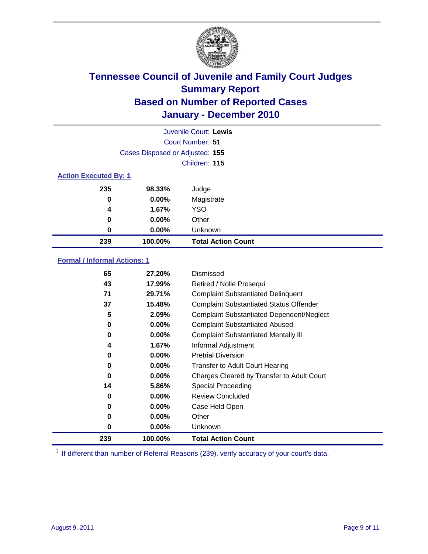

|                              |                                 | Juvenile Court: Lewis     |  |
|------------------------------|---------------------------------|---------------------------|--|
|                              |                                 | Court Number: 51          |  |
|                              | Cases Disposed or Adjusted: 155 |                           |  |
|                              |                                 | Children: 115             |  |
| <b>Action Executed By: 1</b> |                                 |                           |  |
| 235                          | 98.33%                          | Judge                     |  |
| 0                            | $0.00\%$                        | Magistrate                |  |
| 4                            | 1.67%                           | <b>YSO</b>                |  |
| 0                            | $0.00\%$                        | Other                     |  |
| 0                            | $0.00\%$                        | Unknown                   |  |
| 239                          | 100.00%                         | <b>Total Action Count</b> |  |

### **Formal / Informal Actions: 1**

| 65  | 27.20%   | Dismissed                                        |
|-----|----------|--------------------------------------------------|
| 43  | 17.99%   | Retired / Nolle Prosequi                         |
| 71  | 29.71%   | <b>Complaint Substantiated Delinquent</b>        |
| 37  | 15.48%   | <b>Complaint Substantiated Status Offender</b>   |
| 5   | 2.09%    | <b>Complaint Substantiated Dependent/Neglect</b> |
| 0   | $0.00\%$ | <b>Complaint Substantiated Abused</b>            |
| 0   | $0.00\%$ | <b>Complaint Substantiated Mentally III</b>      |
| 4   | 1.67%    | Informal Adjustment                              |
| 0   | $0.00\%$ | <b>Pretrial Diversion</b>                        |
| 0   | $0.00\%$ | <b>Transfer to Adult Court Hearing</b>           |
| 0   | $0.00\%$ | Charges Cleared by Transfer to Adult Court       |
| 14  | 5.86%    | <b>Special Proceeding</b>                        |
| 0   | $0.00\%$ | <b>Review Concluded</b>                          |
| 0   | $0.00\%$ | Case Held Open                                   |
| 0   | $0.00\%$ | Other                                            |
| 0   | $0.00\%$ | <b>Unknown</b>                                   |
| 239 | 100.00%  | <b>Total Action Count</b>                        |

<sup>1</sup> If different than number of Referral Reasons (239), verify accuracy of your court's data.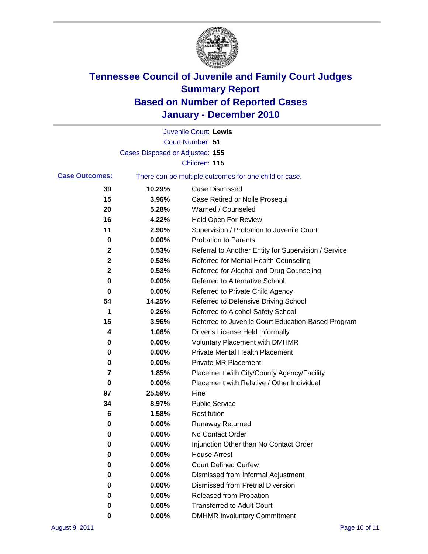

|                       |                                 | Juvenile Court: Lewis                                 |
|-----------------------|---------------------------------|-------------------------------------------------------|
|                       |                                 | <b>Court Number: 51</b>                               |
|                       | Cases Disposed or Adjusted: 155 |                                                       |
|                       |                                 | Children: 115                                         |
| <b>Case Outcomes:</b> |                                 | There can be multiple outcomes for one child or case. |
| 39                    | 10.29%                          | <b>Case Dismissed</b>                                 |
| 15                    | 3.96%                           | Case Retired or Nolle Prosequi                        |
| 20                    | 5.28%                           | Warned / Counseled                                    |
| 16                    | 4.22%                           | Held Open For Review                                  |
| 11                    | 2.90%                           | Supervision / Probation to Juvenile Court             |
| 0                     | 0.00%                           | <b>Probation to Parents</b>                           |
| 2                     | 0.53%                           | Referral to Another Entity for Supervision / Service  |
| 2                     | 0.53%                           | Referred for Mental Health Counseling                 |
| 2                     | 0.53%                           | Referred for Alcohol and Drug Counseling              |
| 0                     | 0.00%                           | <b>Referred to Alternative School</b>                 |
| $\bf{0}$              | 0.00%                           | Referred to Private Child Agency                      |
| 54                    | 14.25%                          | Referred to Defensive Driving School                  |
| 1                     | 0.26%                           | Referred to Alcohol Safety School                     |
| 15                    | 3.96%                           | Referred to Juvenile Court Education-Based Program    |
| 4                     | 1.06%                           | Driver's License Held Informally                      |
| 0                     | 0.00%                           | <b>Voluntary Placement with DMHMR</b>                 |
| 0                     | 0.00%                           | <b>Private Mental Health Placement</b>                |
| 0                     | 0.00%                           | <b>Private MR Placement</b>                           |
| 7                     | 1.85%                           | Placement with City/County Agency/Facility            |
| 0                     | 0.00%                           | Placement with Relative / Other Individual            |
| 97                    | 25.59%                          | Fine                                                  |
| 34                    | 8.97%                           | <b>Public Service</b>                                 |
| 6                     | 1.58%                           | Restitution                                           |
| 0                     | 0.00%                           | <b>Runaway Returned</b>                               |
| 0                     | 0.00%                           | No Contact Order                                      |
| 0                     | 0.00%                           | Injunction Other than No Contact Order                |
| 0                     | 0.00%                           | <b>House Arrest</b>                                   |
| 0                     | 0.00%                           | <b>Court Defined Curfew</b>                           |
| 0                     | $0.00\%$                        | Dismissed from Informal Adjustment                    |
| 0                     | $0.00\%$                        | <b>Dismissed from Pretrial Diversion</b>              |
| 0                     | 0.00%                           | Released from Probation                               |
| 0                     | 0.00%                           | <b>Transferred to Adult Court</b>                     |
| 0                     | $0.00\%$                        | <b>DMHMR Involuntary Commitment</b>                   |